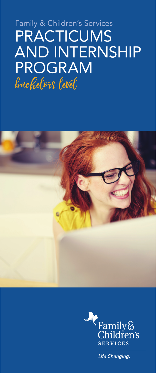# Family & Children's Services **PRACTICUMS** AND INTERNSHIP PROGRAM bachelors level





Life Changing.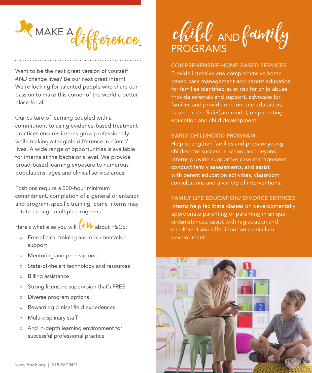

Want to be the next great version of yourself *AND* change lives? Be our next great intern! We're looking for talented people who share our passion to make this corner of the world a better place for all.

Our culture of learning coupled with a commitment to using evidence-based treatment practices ensures interns grow professionally while making a tangible difference in clients' lives. A wide range of opportunities is available for interns at the bachelor's level. We provide broad-based learning exposure to numerous populations, ages and clinical service areas.

Positions require a 200-hour minimum commitment, completion of a general orientation and program-specific training. Some interns may rotate through multiple programs.

Here's what else you will  $\bigotimes_{\ell} V\ell$  about F&CS:

- » Free clinical training and documentation support
- » Mentoring and peer support
- » State-of-the art technology and resources
- » Billing assistance
- Strong licensure supervision that's FREE
- » Diverse program options
- » Rewarding clinical field experiences
- » Multi-displinary staff
- » And in-depth learning environment for successful professional practice

Child AND family

#### COMPREHENSIVE HOME BASED SERVICES

Provide intensive and comprehensive home based case management and parent education for families identified as at risk for child abuse. Provide referrals and support, advocate for families and provide one-on-one education, based on the SafeCare model, on parenting education and child development.

#### EARLY CHILDHOOD PROGRAM

Help strengthen families and prepare young children for success in school and beyond. Interns provide supportive case management, conduct family assessments, and assist with parent education activities, classroom consultations and a variety of interventions.

FAMILY LIFE EDUCATION/ DIVORCE SERVICES Interns help facilitate classes on developmentally appropriate parenting or parenting in unique circumstances, assist with registration and enrollment and offer input on curriculum development.

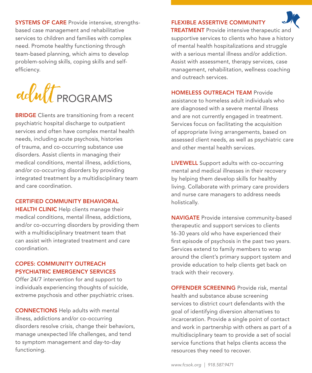SYSTEMS OF CARE Provide intensive, strengthsbased case management and rehabilitative services to children and families with complex need. Promote healthy functioning through team-based planning, which aims to develop problem-solving skills, coping skills and selfefficiency.

dolult PROGRAMS

**BRIDGE** Clients are transitioning from a recent psychiatric hospital discharge to outpatient services and often have complex mental health needs, including acute psychosis, histories of trauma, and co-occurring substance use disorders. Assist clients in managing their medical conditions, mental illness, addictions, and/or co-occurring disorders by providing integrated treatment by a multidisciplinary team and care coordination.

#### CERTIFIED COMMUNITY BEHAVIORAL

**HEALTH CLINIC** Help clients manage their medical conditions, mental illness, addictions, and/or co-occurring disorders by providing them with a multidisciplinary treatment team that can assist with integrated treatment and care coordination.

#### COPES: COMMUNITY OUTREACH PSYCHIATRIC EMERGENCY SERVICES

Offer 24/7 intervention for and support to individuals experiencing thoughts of suicide, extreme psychosis and other psychiatric crises.

CONNECTIONS Help adults with mental illness, addictions and/or co-occurring disorders resolve crisis, change their behaviors, manage unexpected life challenges, and tend to symptom management and day-to-day functioning.

### FLEXIBLE ASSERTIVE COMMUNITY



**TREATMENT** Provide intensive therapeutic and supportive services to clients who have a history of mental health hospitalizations and struggle with a serious mental illness and/or addiction. Assist with assessment, therapy services, case management, rehabilitation, wellness coaching and outreach services.

#### HOMELESS OUTREACH TEAM Provide

assistance to homeless adult individuals who are diagnosed with a severe mental illness and are not currently engaged in treatment. Services focus on facilitating the acquisition of appropriate living arrangements, based on assessed client needs, as well as psychiatric care and other mental health services.

LIVEWELL Support adults with co-occurring mental and medical illnesses in their recovery by helping them develop skills for healthy living. Collaborate with primary care providers and nurse care managers to address needs holistically.

NAVIGATE Provide intensive community-based therapeutic and support services to clients 16-30 years old who have experienced their first episode of psychosis in the past two years. Services extend to family members to wrap around the client's primary support system and provide education to help clients get back on track with their recovery.

OFFENDER SCREENING Provide risk, mental health and substance abuse screening services to district court defendants with the goal of identifying diversion alternatives to incarceration. Provide a single point of contact and work in partnership with others as part of a multidisciplinary team to provide a set of social service functions that helps clients access the resources they need to recover.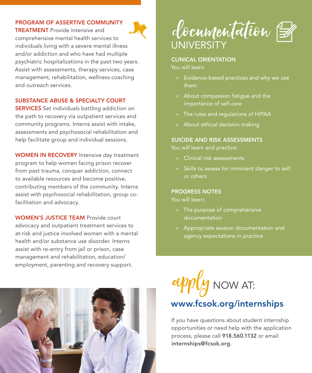#### PROGRAM OF ASSERTIVE COMMUNITY

TREATMENT Provide intensive and comprehensive mental health services to individuals living with a severe mental illness and/or addiction and who have had multiple psychiatric hospitalizations in the past two years. Assist with assessments, therapy services, case management, rehabilitation, wellness coaching and outreach services.

#### SUBSTANCE ABUSE & SPECIALTY COURT

**SERVICES** Set individuals battling addiction on the path to recovery via outpatient services and community programs. Interns assist with intake, assessments and psychosocial rehabilitation and help facilitate group and individual sessions.

WOMEN IN RECOVERY Intensive day treatment program to help women facing prison recover from past trauma, conquer addiction, connect to available resources and become positive, contributing members of the community. Interns assist with psychosocial rehabilitation, group cofacilitation and advocacy.

WOMEN'S JUSTICE TEAM Provide court advocacy and outpatient treatment services to at-risk and justice involved women with a mental health and/or substance use disorder. Interns assist with re-entry from jail or prison, case management and rehabilitation, education/ employment, parenting and recovery support.



documentation **UNIVERSITY** 

#### CLINICAL ORIENTATION

You will learn:

- » Evidence-based practices and why we use them
- » About compassion fatigue and the importance of self-care
- » The rules and regulations of HIPAA
- » About ethical decision making

#### SUICIDE AND RISK ASSESSMENTS

You will learn and practice:

- » Clinical risk assessments
- » Skills to assess for imminent danger to self or others

#### PROGRESS NOTES

You will learn:

- » The purpose of comprehensive documentation
- » Appropriate session documentation and agency expectations in practice



## www.fcsok.org/internships

If you have questions about student internship opportunities or need help with the application process, please call 918.560.1132 or email internships@fcsok.org.